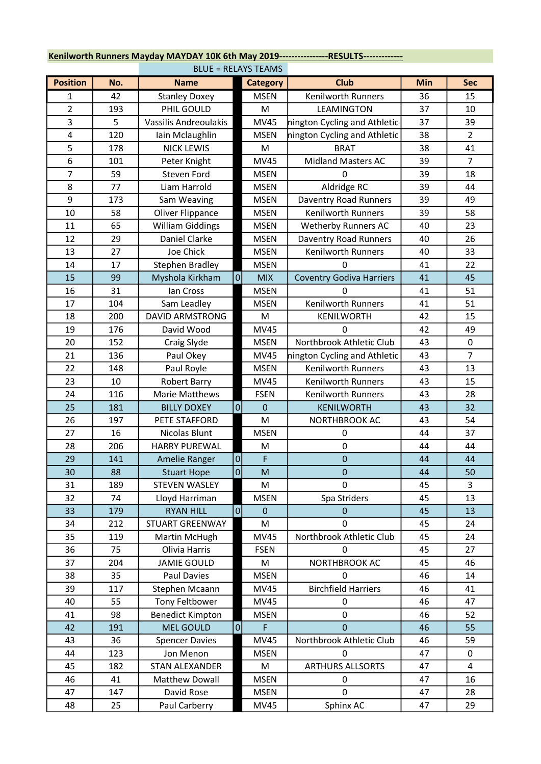| <b>BLUE = RELAYS TEAMS</b> |     |                         |                |                 |                                 |     |                |  |  |
|----------------------------|-----|-------------------------|----------------|-----------------|---------------------------------|-----|----------------|--|--|
| <b>Position</b>            | No. | <b>Name</b>             |                | <b>Category</b> | <b>Club</b>                     | Min | <b>Sec</b>     |  |  |
| 1                          | 42  | <b>Stanley Doxey</b>    |                | <b>MSEN</b>     | <b>Kenilworth Runners</b>       | 36  | 15             |  |  |
| $\overline{2}$             | 193 | PHIL GOULD              |                | M               | LEAMINGTON                      | 37  | 10             |  |  |
| 3                          | 5   | Vassilis Andreoulakis   |                | <b>MV45</b>     | nington Cycling and Athletic    | 37  | 39             |  |  |
| 4                          | 120 | Iain Mclaughlin         |                | <b>MSEN</b>     | nington Cycling and Athletic    | 38  | $\overline{2}$ |  |  |
| 5                          | 178 | <b>NICK LEWIS</b>       |                | M               | <b>BRAT</b>                     | 38  | 41             |  |  |
| 6                          | 101 | Peter Knight            |                | <b>MV45</b>     | <b>Midland Masters AC</b>       | 39  | $\overline{7}$ |  |  |
| 7                          | 59  | Steven Ford             |                | <b>MSEN</b>     | $\Omega$                        | 39  | 18             |  |  |
| 8                          | 77  | Liam Harrold            |                | <b>MSEN</b>     | Aldridge RC                     | 39  | 44             |  |  |
| 9                          | 173 | Sam Weaving             |                | <b>MSEN</b>     | Daventry Road Runners           | 39  | 49             |  |  |
| 10                         | 58  | Oliver Flippance        |                | <b>MSEN</b>     | Kenilworth Runners              | 39  | 58             |  |  |
| 11                         | 65  | <b>William Giddings</b> |                | <b>MSEN</b>     | Wetherby Runners AC             | 40  | 23             |  |  |
| 12                         | 29  | Daniel Clarke           |                | <b>MSEN</b>     | Daventry Road Runners           | 40  | 26             |  |  |
| 13                         | 27  | Joe Chick               |                | <b>MSEN</b>     | <b>Kenilworth Runners</b>       | 40  | 33             |  |  |
| 14                         | 17  | <b>Stephen Bradley</b>  |                | <b>MSEN</b>     | 0                               | 41  | 22             |  |  |
| 15                         | 99  | Myshola Kirkham         | 0              | <b>MIX</b>      | <b>Coventry Godiva Harriers</b> | 41  | 45             |  |  |
| 16                         | 31  | Ian Cross               |                | <b>MSEN</b>     | O                               | 41  | 51             |  |  |
| 17                         | 104 | Sam Leadley             |                | <b>MSEN</b>     | Kenilworth Runners              | 41  | 51             |  |  |
| 18                         | 200 | <b>DAVID ARMSTRONG</b>  |                | M               | KENILWORTH                      | 42  | 15             |  |  |
| 19                         | 176 | David Wood              |                | <b>MV45</b>     | 0                               | 42  | 49             |  |  |
| 20                         | 152 | Craig Slyde             |                | <b>MSEN</b>     | Northbrook Athletic Club        | 43  | $\pmb{0}$      |  |  |
| 21                         | 136 | Paul Okey               |                | <b>MV45</b>     | nington Cycling and Athletic    | 43  | $\overline{7}$ |  |  |
| 22                         | 148 | Paul Royle              |                | <b>MSEN</b>     | <b>Kenilworth Runners</b>       | 43  | 13             |  |  |
| 23                         | 10  | <b>Robert Barry</b>     |                | <b>MV45</b>     | Kenilworth Runners              | 43  | 15             |  |  |
| 24                         | 116 | Marie Matthews          |                | <b>FSEN</b>     | Kenilworth Runners              | 43  | 28             |  |  |
| 25                         | 181 | <b>BILLY DOXEY</b>      | $\overline{0}$ | $\mathbf 0$     | <b>KENILWORTH</b>               | 43  | 32             |  |  |
| 26                         | 197 | PETE STAFFORD           |                | M               | NORTHBROOK AC                   | 43  | 54             |  |  |
| 27                         | 16  | Nicolas Blunt           |                | <b>MSEN</b>     | 0                               | 44  | 37             |  |  |
| 28                         | 206 | <b>HARRY PUREWAL</b>    |                | M               | 0                               | 44  | 44             |  |  |
| 29                         | 141 | Amelie Ranger           | $\overline{0}$ | F               | 0                               | 44  | 44             |  |  |
| 30                         | 88  | <b>Stuart Hope</b>      | $\overline{0}$ | M               | $\pmb{0}$                       | 44  | 50             |  |  |
| 31                         | 189 | <b>STEVEN WASLEY</b>    |                | M               | 0                               | 45  | 3              |  |  |
| 32                         | 74  | Lloyd Harriman          |                | <b>MSEN</b>     | Spa Striders                    | 45  | 13             |  |  |
| 33                         | 179 | <b>RYAN HILL</b>        | $\overline{0}$ | $\Omega$        | 0                               | 45  | 13             |  |  |
| 34                         | 212 | <b>STUART GREENWAY</b>  |                | M               | 0                               | 45  | 24             |  |  |
| 35                         | 119 | Martin McHugh           |                | <b>MV45</b>     | Northbrook Athletic Club        | 45  | 24             |  |  |
| 36                         | 75  | Olivia Harris           |                | <b>FSEN</b>     | 0                               | 45  | 27             |  |  |
| 37                         | 204 | <b>JAMIE GOULD</b>      |                | M               | NORTHBROOK AC                   | 45  | 46             |  |  |
| 38                         | 35  | Paul Davies             |                | <b>MSEN</b>     | $\Omega$                        | 46  | 14             |  |  |
| 39                         | 117 | Stephen Mcaann          |                | <b>MV45</b>     | <b>Birchfield Harriers</b>      | 46  | 41             |  |  |
| 40                         | 55  | Tony Feltbower          |                | <b>MV45</b>     | 0                               | 46  | 47             |  |  |
| 41                         | 98  | <b>Benedict Kimpton</b> |                | <b>MSEN</b>     | 0                               | 46  | 52             |  |  |
| 42                         | 191 | <b>MEL GOULD</b>        | 0              | F               | 0                               | 46  | 55             |  |  |
| 43                         | 36  | <b>Spencer Davies</b>   |                | <b>MV45</b>     | Northbrook Athletic Club        | 46  | 59             |  |  |
| 44                         | 123 | Jon Menon               |                | <b>MSEN</b>     | $\Omega$                        | 47  | 0              |  |  |
| 45                         | 182 | STAN ALEXANDER          |                | M               | <b>ARTHURS ALLSORTS</b>         | 47  | 4              |  |  |
| 46                         | 41  | Matthew Dowall          |                | <b>MSEN</b>     | 0                               | 47  | 16             |  |  |
| 47                         | 147 | David Rose              |                | <b>MSEN</b>     | 0                               | 47  | 28             |  |  |
| 48                         | 25  | Paul Carberry           |                | <b>MV45</b>     | Sphinx AC                       | 47  | 29             |  |  |

## Kenilworth Runners Mayday MAYDAY 10K 6th May 2019-----------------RESULTS-------------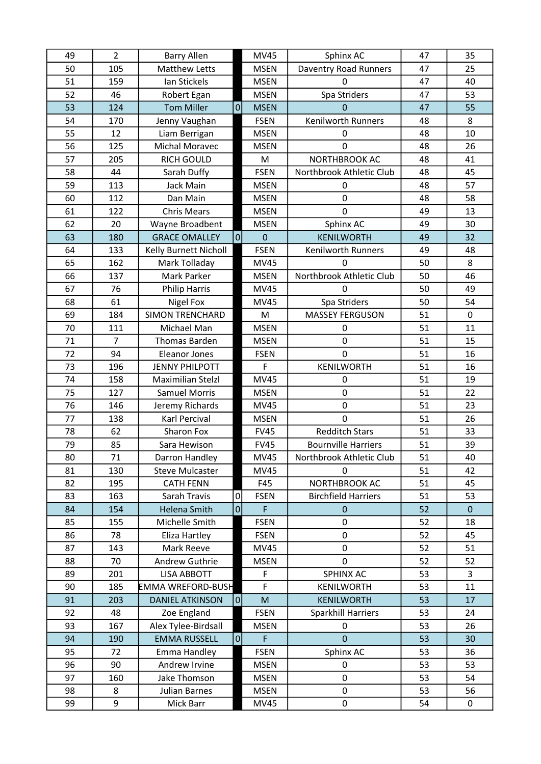| 49 | $\overline{2}$ | <b>Barry Allen</b>     |                | <b>MV45</b> | Sphinx AC                    | 47 | 35           |
|----|----------------|------------------------|----------------|-------------|------------------------------|----|--------------|
| 50 | 105            | <b>Matthew Letts</b>   |                | <b>MSEN</b> | <b>Daventry Road Runners</b> | 47 | 25           |
| 51 | 159            | Ian Stickels           |                | <b>MSEN</b> | $\mathbf 0$                  | 47 | 40           |
| 52 | 46             | Robert Egan            |                | <b>MSEN</b> | Spa Striders                 | 47 | 53           |
| 53 | 124            | <b>Tom Miller</b>      | $\overline{0}$ | <b>MSEN</b> | $\Omega$                     | 47 | 55           |
| 54 | 170            | Jenny Vaughan          |                | <b>FSEN</b> | Kenilworth Runners           | 48 | 8            |
| 55 | 12             | Liam Berrigan          |                | <b>MSEN</b> | 0                            | 48 | 10           |
| 56 | 125            | <b>Michal Moravec</b>  |                | <b>MSEN</b> | 0                            | 48 | 26           |
| 57 | 205            | <b>RICH GOULD</b>      |                | M           | NORTHBROOK AC                | 48 | 41           |
| 58 | 44             | Sarah Duffy            |                | <b>FSEN</b> | Northbrook Athletic Club     | 48 | 45           |
| 59 | 113            | Jack Main              |                | <b>MSEN</b> | 0                            | 48 | 57           |
| 60 | 112            | Dan Main               |                | <b>MSEN</b> | $\mathbf 0$                  | 48 | 58           |
| 61 | 122            | <b>Chris Mears</b>     |                | <b>MSEN</b> | 0                            | 49 | 13           |
| 62 | 20             | Wayne Broadbent        |                | <b>MSEN</b> | Sphinx AC                    | 49 | 30           |
| 63 | 180            | <b>GRACE OMALLEY</b>   | $\overline{0}$ | $\mathbf 0$ | <b>KENILWORTH</b>            | 49 | 32           |
| 64 | 133            | Kelly Burnett Nicholl  |                | <b>FSEN</b> | Kenilworth Runners           | 49 | 48           |
| 65 | 162            | Mark Tolladay          |                | <b>MV45</b> | <sup>0</sup>                 | 50 | 8            |
| 66 | 137            | Mark Parker            |                | <b>MSEN</b> | Northbrook Athletic Club     | 50 | 46           |
| 67 | 76             | <b>Philip Harris</b>   |                | <b>MV45</b> | $\mathbf 0$                  | 50 | 49           |
| 68 | 61             | <b>Nigel Fox</b>       |                | <b>MV45</b> | Spa Striders                 | 50 | 54           |
| 69 | 184            | <b>SIMON TRENCHARD</b> |                | M           | <b>MASSEY FERGUSON</b>       | 51 | $\mathbf 0$  |
| 70 | 111            | Michael Man            |                | <b>MSEN</b> | 0                            | 51 | 11           |
| 71 | $\overline{7}$ | Thomas Barden          |                | <b>MSEN</b> | 0                            | 51 | 15           |
| 72 | 94             | Eleanor Jones          |                | <b>FSEN</b> | $\mathbf 0$                  | 51 | 16           |
| 73 | 196            | <b>JENNY PHILPOTT</b>  |                | F           | KENILWORTH                   | 51 | 16           |
| 74 | 158            | Maximilian Stelzl      |                | <b>MV45</b> | 0                            | 51 | 19           |
| 75 | 127            | <b>Samuel Morris</b>   |                | <b>MSEN</b> | 0                            | 51 | 22           |
| 76 | 146            | Jeremy Richards        |                | <b>MV45</b> | 0                            | 51 | 23           |
| 77 | 138            | Karl Percival          |                | <b>MSEN</b> | $\mathbf 0$                  | 51 | 26           |
| 78 | 62             | Sharon Fox             |                | <b>FV45</b> | <b>Redditch Stars</b>        | 51 | 33           |
| 79 | 85             | Sara Hewison           |                | <b>FV45</b> | <b>Bournville Harriers</b>   | 51 | 39           |
| 80 | $71\,$         | Darron Handley         |                | <b>MV45</b> | Northbrook Athletic Club     | 51 | 40           |
| 81 | 130            | <b>Steve Mulcaster</b> |                | <b>MV45</b> | 0                            | 51 | 42           |
| 82 | 195            | <b>CATH FENN</b>       |                | F45         | NORTHBROOK AC                | 51 | 45           |
| 83 | 163            | Sarah Travis           | 0              | <b>FSEN</b> | <b>Birchfield Harriers</b>   | 51 | 53           |
| 84 | 154            | <b>Helena Smith</b>    | $\overline{0}$ | F           | $\pmb{0}$                    | 52 | $\mathbf{0}$ |
| 85 | 155            | Michelle Smith         |                | <b>FSEN</b> | 0                            | 52 | 18           |
| 86 | 78             | Eliza Hartley          |                | <b>FSEN</b> | 0                            | 52 | 45           |
| 87 | 143            | Mark Reeve             |                | <b>MV45</b> | 0                            | 52 | 51           |
| 88 | 70             | Andrew Guthrie         |                | <b>MSEN</b> | 0                            | 52 | 52           |
| 89 | 201            | LISA ABBOTT            |                | $\mathsf F$ | SPHINX AC                    | 53 | 3            |
| 90 | 185            | EMMA WREFORD-BUSH      |                | F           | KENILWORTH                   | 53 | 11           |
| 91 | 203            | <b>DANIEL ATKINSON</b> | 0              | M           | <b>KENILWORTH</b>            | 53 | 17           |
| 92 | 48             | Zoe England            |                | <b>FSEN</b> | Sparkhill Harriers           | 53 | 24           |
| 93 | 167            | Alex Tylee-Birdsall    |                | <b>MSEN</b> | 0                            | 53 | 26           |
| 94 | 190            | <b>EMMA RUSSELL</b>    | $\overline{0}$ | F           | $\mathbf 0$                  | 53 | 30           |
| 95 | 72             | Emma Handley           |                | <b>FSEN</b> | Sphinx AC                    | 53 | 36           |
| 96 | 90             | Andrew Irvine          |                | <b>MSEN</b> | 0                            | 53 | 53           |
| 97 | 160            | Jake Thomson           |                | <b>MSEN</b> | 0                            | 53 | 54           |
| 98 | 8              | Julian Barnes          |                | <b>MSEN</b> | 0                            | 53 | 56           |
| 99 | 9              | Mick Barr              |                | <b>MV45</b> | 0                            | 54 | 0            |
|    |                |                        |                |             |                              |    |              |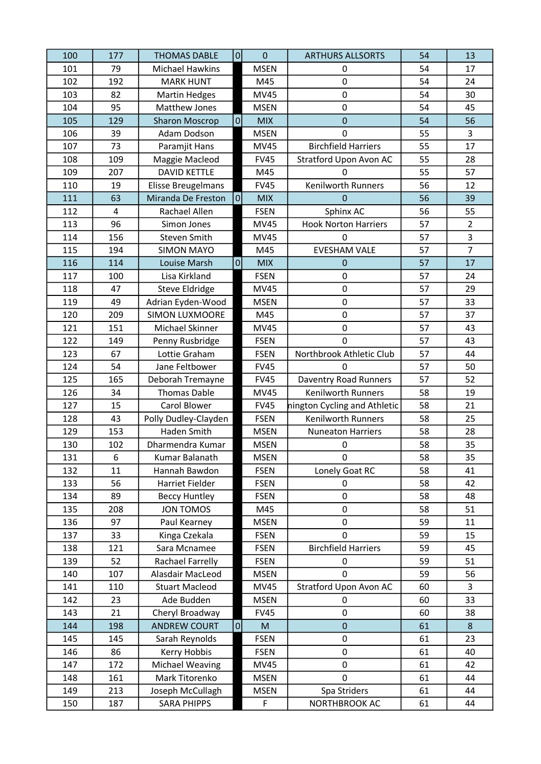| 100 | 177 | <b>THOMAS DABLE</b>    | $\overline{0}$ | $\overline{0}$ | <b>ARTHURS ALLSORTS</b>       | 54 | 13             |
|-----|-----|------------------------|----------------|----------------|-------------------------------|----|----------------|
| 101 | 79  | <b>Michael Hawkins</b> |                | <b>MSEN</b>    | 0                             | 54 | 17             |
| 102 | 192 | <b>MARK HUNT</b>       |                | M45            | 0                             | 54 | 24             |
| 103 | 82  | <b>Martin Hedges</b>   |                | <b>MV45</b>    | 0                             | 54 | 30             |
| 104 | 95  | Matthew Jones          |                | <b>MSEN</b>    | 0                             | 54 | 45             |
| 105 | 129 | <b>Sharon Moscrop</b>  | $\overline{0}$ | <b>MIX</b>     | 0                             | 54 | 56             |
| 106 | 39  | Adam Dodson            |                | <b>MSEN</b>    | 0                             | 55 | 3              |
| 107 | 73  | Paramjit Hans          |                | <b>MV45</b>    | <b>Birchfield Harriers</b>    | 55 | 17             |
| 108 | 109 | Maggie Macleod         |                | <b>FV45</b>    | <b>Stratford Upon Avon AC</b> | 55 | 28             |
| 109 | 207 | <b>DAVID KETTLE</b>    |                | M45            | 0                             | 55 | 57             |
| 110 | 19  | Elisse Breugelmans     |                | <b>FV45</b>    | Kenilworth Runners            | 56 | 12             |
| 111 | 63  | Miranda De Freston     | 0              | <b>MIX</b>     | 0                             | 56 | 39             |
| 112 | 4   | Rachael Allen          |                | <b>FSEN</b>    | Sphinx AC                     | 56 | 55             |
| 113 | 96  | Simon Jones            |                | <b>MV45</b>    | <b>Hook Norton Harriers</b>   | 57 | $\overline{2}$ |
| 114 | 156 | Steven Smith           |                | <b>MV45</b>    | $\mathbf 0$                   | 57 | 3              |
| 115 | 194 | <b>SIMON MAYO</b>      |                | M45            | <b>EVESHAM VALE</b>           | 57 | $\overline{7}$ |
| 116 | 114 | Louise Marsh           | $\overline{0}$ | <b>MIX</b>     | 0                             | 57 | 17             |
| 117 | 100 | Lisa Kirkland          |                | <b>FSEN</b>    | $\mathbf 0$                   | 57 | 24             |
| 118 | 47  | Steve Eldridge         |                | MV45           | 0                             | 57 | 29             |
| 119 | 49  | Adrian Eyden-Wood      |                | <b>MSEN</b>    | $\pmb{0}$                     | 57 | 33             |
| 120 | 209 | <b>SIMON LUXMOORE</b>  |                | M45            | $\mathbf 0$                   | 57 | 37             |
| 121 | 151 | Michael Skinner        |                | <b>MV45</b>    | 0                             | 57 | 43             |
| 122 | 149 | Penny Rusbridge        |                | <b>FSEN</b>    | $\mathbf 0$                   | 57 | 43             |
| 123 | 67  | Lottie Graham          |                | <b>FSEN</b>    | Northbrook Athletic Club      | 57 | 44             |
| 124 | 54  | Jane Feltbower         |                | <b>FV45</b>    | 0                             | 57 | 50             |
| 125 | 165 | Deborah Tremayne       |                | <b>FV45</b>    | Daventry Road Runners         | 57 | 52             |
| 126 | 34  | <b>Thomas Dable</b>    |                | <b>MV45</b>    | <b>Kenilworth Runners</b>     | 58 | 19             |
| 127 | 15  | Carol Blower           |                | <b>FV45</b>    | nington Cycling and Athletic  | 58 | 21             |
| 128 | 43  | Polly Dudley-Clayden   |                | <b>FSEN</b>    | Kenilworth Runners            | 58 | 25             |
| 129 | 153 | Haden Smith            |                | <b>MSEN</b>    | <b>Nuneaton Harriers</b>      | 58 | 28             |
| 130 | 102 | Dharmendra Kumar       |                | <b>MSEN</b>    | 0                             | 58 | 35             |
| 131 | 6   | Kumar Balanath         |                | <b>MSEN</b>    | $\mathbf 0$                   | 58 | 35             |
| 132 | 11  | Hannah Bawdon          |                | <b>FSEN</b>    | Lonely Goat RC                | 58 | 41             |
| 133 | 56  | Harriet Fielder        |                | <b>FSEN</b>    | 0                             | 58 | 42             |
| 134 | 89  | <b>Beccy Huntley</b>   |                | <b>FSEN</b>    | 0                             | 58 | 48             |
| 135 | 208 | JON TOMOS              |                | M45            | 0                             | 58 | 51             |
| 136 | 97  | Paul Kearney           |                | <b>MSEN</b>    | 0                             | 59 | 11             |
| 137 | 33  | Kinga Czekala          |                | <b>FSEN</b>    | 0                             | 59 | 15             |
| 138 | 121 | Sara Mcnamee           |                | <b>FSEN</b>    | <b>Birchfield Harriers</b>    | 59 | 45             |
| 139 | 52  | Rachael Farrelly       |                | <b>FSEN</b>    | 0                             | 59 | 51             |
| 140 | 107 | Alasdair MacLeod       |                | <b>MSEN</b>    | 0                             | 59 | 56             |
| 141 | 110 | <b>Stuart Macleod</b>  |                | <b>MV45</b>    | Stratford Upon Avon AC        | 60 | 3              |
| 142 | 23  | Ade Budden             |                | <b>MSEN</b>    | 0                             | 60 | 33             |
| 143 | 21  | Cheryl Broadway        |                | <b>FV45</b>    | 0                             | 60 | 38             |
| 144 | 198 | <b>ANDREW COURT</b>    | 0              | M              | $\pmb{0}$                     | 61 | $\bf 8$        |
| 145 | 145 | Sarah Reynolds         |                | <b>FSEN</b>    | 0                             | 61 | 23             |
| 146 | 86  | Kerry Hobbis           |                | <b>FSEN</b>    | 0                             | 61 | 40             |
| 147 | 172 | Michael Weaving        |                | <b>MV45</b>    | 0                             | 61 | 42             |
| 148 | 161 | Mark Titorenko         |                | <b>MSEN</b>    | $\mathbf 0$                   | 61 | 44             |
| 149 | 213 | Joseph McCullagh       |                | <b>MSEN</b>    | Spa Striders                  | 61 | 44             |
| 150 | 187 | <b>SARA PHIPPS</b>     |                | $\mathsf F$    | NORTHBROOK AC                 | 61 | 44             |